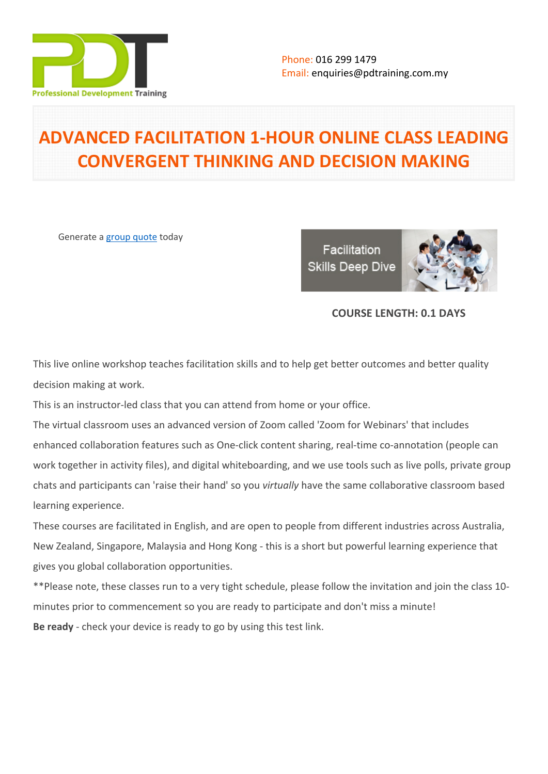

# **ADVANCED FACILITATION 1-HOUR ONLINE CLASS LEADING CONVERGENT THINKING AND DECISION MAKING**

Generate a [group quote](https://pdtraining.com.my/inhouse-training-quote?cse=PDTA5217_C) today

Facilitation **Skills Deep Dive** 



# **COURSE LENGTH: 0.1 DAYS**

This live online workshop teaches facilitation skills and to help get better outcomes and better quality decision making at work.

This is an instructor-led class that you can attend from home or your office.

The virtual classroom uses an advanced version of Zoom called 'Zoom for Webinars' that includes enhanced collaboration features such as One-click content sharing, real-time co-annotation (people can work together in activity files), and digital whiteboarding, and we use tools such as live polls, private group chats and participants can 'raise their hand' so you *virtually* have the same collaborative classroom based learning experience.

These courses are facilitated in English, and are open to people from different industries across Australia, New Zealand, Singapore, Malaysia and Hong Kong - this is a short but powerful learning experience that gives you global collaboration opportunities.

\*\*Please note, these classes run to a very tight schedule, please follow the invitation and join the class 10 minutes prior to commencement so you are ready to participate and don't miss a minute! **Be ready** - check your device is ready to go by using this [test link.](https://zoom.us/test)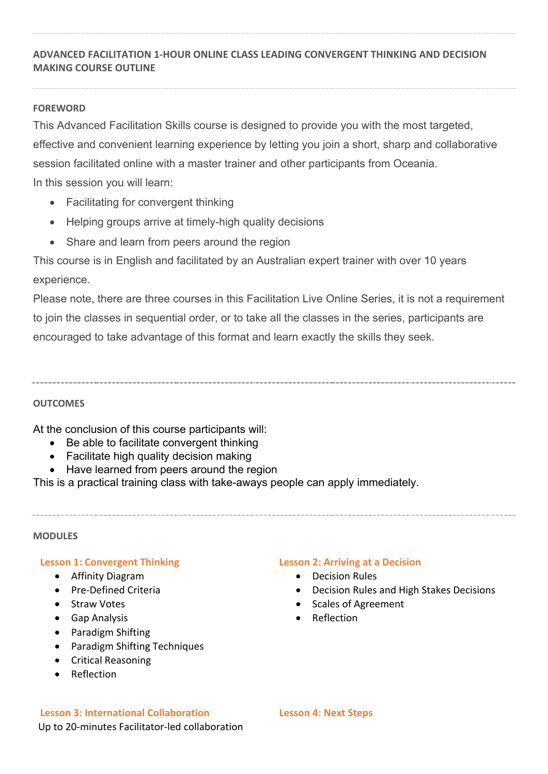# **ADVANCED FACILITATION 1-HOUR ONLINE CLASS LEADING CONVERGENT THINKING AND DECISION MAKING COURSE OUTLINE**

## **FOREWORD**

This Advanced Facilitation Skills course is designed to provide you with the most targeted, effective and convenient learning experience by letting you join a short, sharp and collaborative session facilitated online with a master trainer and other participants from Oceania. In this session you will learn:

- Facilitating for convergent thinking
- Helping groups arrive at timely-high quality decisions
- Share and learn from peers around the region

This course is in English and facilitated by an Australian expert trainer with over 10 years experience.

Please note, there are three courses in this Facilitation Live Online Series, it is not a requirement to join the classes in sequential order, or to take all the classes in the series, participants are encouraged to take advantage of this format and learn exactly the skills they seek.

## **OUTCOMES**

At the conclusion of this course participants will:

- Be able to facilitate convergent thinking
- Facilitate high quality decision making
- Have learned from peers around the region

This is a practical training class with take-aways people can apply immediately.

## **MODULES**

## **Lesson 1: Convergent Thinking**

- Affinity Diagram
- Pre-Defined Criteria
- Straw Votes
- Gap Analysis
- Paradigm Shifting
- Paradigm Shifting Techniques
- Critical Reasoning
- Reflection

## **Lesson 2: Arriving at a Decision**

- Decision Rules
- Decision Rules and High Stakes Decisions
- Scales of Agreement
- Reflection

**Lesson 3: International Collaboration** Up to 20-minutes Facilitator-led collaboration